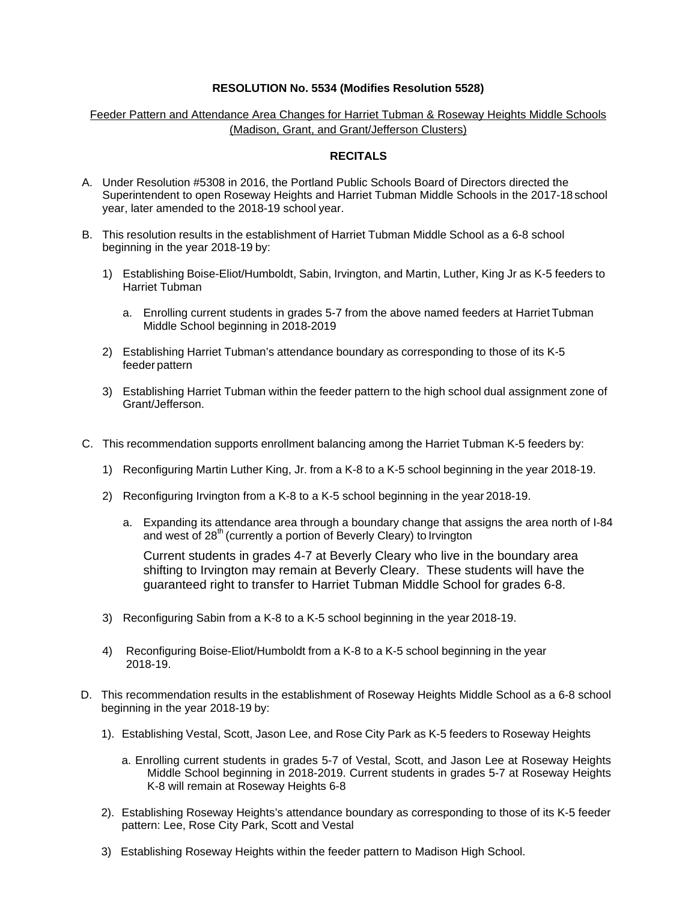## **RESOLUTION No. 5534 (Modifies Resolution 5528)**

## Feeder Pattern and Attendance Area Changes for Harriet Tubman & Roseway Heights Middle Schools (Madison, Grant, and Grant/Jefferson Clusters)

## **RECITALS**

- A. Under Resolution #5308 in 2016, the Portland Public Schools Board of Directors directed the Superintendent to open Roseway Heights and Harriet Tubman Middle Schools in the 2017-18 school year, later amended to the 2018-19 school year.
- B. This resolution results in the establishment of Harriet Tubman Middle School as a 6-8 school beginning in the year 2018-19 by:
	- 1) Establishing Boise-Eliot/Humboldt, Sabin, Irvington, and Martin, Luther, King Jr as K-5 feeders to Harriet Tubman
		- a. Enrolling current students in grades 5-7 from the above named feeders at Harriet Tubman Middle School beginning in 2018-2019
	- 2) Establishing Harriet Tubman's attendance boundary as corresponding to those of its K-5 feeder pattern
	- 3) Establishing Harriet Tubman within the feeder pattern to the high school dual assignment zone of Grant/Jefferson.
- C. This recommendation supports enrollment balancing among the Harriet Tubman K-5 feeders by:
	- 1) Reconfiguring Martin Luther King, Jr. from a K-8 to a K-5 school beginning in the year 2018-19.
	- 2) Reconfiguring Irvington from a K-8 to a K-5 school beginning in the year 2018-19.
		- a. Expanding its attendance area through a boundary change that assigns the area north of I-84 and west of 28<sup>th</sup> (currently a portion of Beverly Cleary) to Irvington

Current students in grades 4-7 at Beverly Cleary who live in the boundary area shifting to Irvington may remain at Beverly Cleary. These students will have the guaranteed right to transfer to Harriet Tubman Middle School for grades 6-8.

- 3) Reconfiguring Sabin from a K-8 to a K-5 school beginning in the year 2018-19.
- 4) Reconfiguring Boise-Eliot/Humboldt from a K-8 to a K-5 school beginning in the year 2018-19.
- D. This recommendation results in the establishment of Roseway Heights Middle School as a 6-8 school beginning in the year 2018-19 by:
	- 1). Establishing Vestal, Scott, Jason Lee, and Rose City Park as K-5 feeders to Roseway Heights
		- a. Enrolling current students in grades 5-7 of Vestal, Scott, and Jason Lee at Roseway Heights Middle School beginning in 2018-2019. Current students in grades 5-7 at Roseway Heights K-8 will remain at Roseway Heights 6-8
	- 2). Establishing Roseway Heights's attendance boundary as corresponding to those of its K-5 feeder pattern: Lee, Rose City Park, Scott and Vestal
	- 3) Establishing Roseway Heights within the feeder pattern to Madison High School.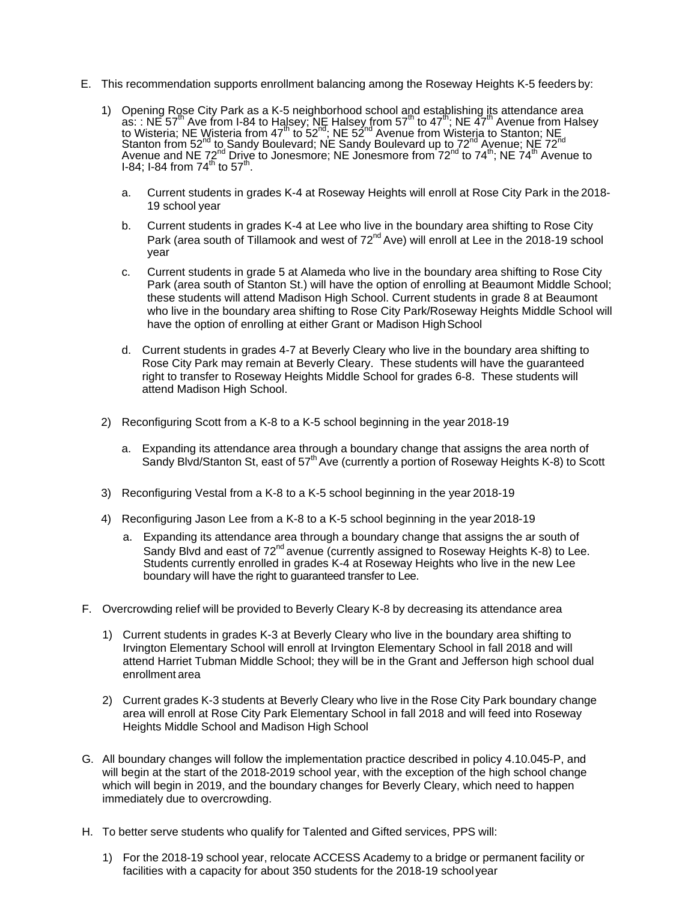- E. This recommendation supports enrollment balancing among the Roseway Heights K-5 feeders by:
	- 1) Opening Rose City Park as a K-5 neighborhood school and establishing its attendance area  $\alpha$ s: : NE 57<sup>th</sup> Ave from I-84 to Halsey; NE Halsey from 57<sup>th</sup> to 47<sup>th</sup>; NE 47<sup>th</sup> Avenue from Halsey to Wisteria; NE Wisteria from  $47^{\text{th}}$  to  $52^{\text{nd}}$ ; NE  $52^{\text{nd}}$  Avenue from Wisteria to Stanton; NE Stanton from 52<sup>nd</sup> to Sandy Boulevard; NE Sandy Boulevard up to 72<sup>nd</sup> Avenue; NE 72<sup>nd</sup> Avenue and NE 72<sup>nd</sup> Drive to Jonesmore; NE Jonesmore from 72<sup>nd</sup> to 74<sup>th</sup>; NE 74<sup>th</sup> Avenue to  $1-84$ ; I-84 from 74<sup>th</sup> to 57<sup>th</sup>.
		- a. Current students in grades K-4 at Roseway Heights will enroll at Rose City Park in the 2018- 19 school year
		- b. Current students in grades K-4 at Lee who live in the boundary area shifting to Rose City Park (area south of Tillamook and west of 72<sup>nd</sup> Ave) will enroll at Lee in the 2018-19 school year
		- c. Current students in grade 5 at Alameda who live in the boundary area shifting to Rose City Park (area south of Stanton St.) will have the option of enrolling at Beaumont Middle School; these students will attend Madison High School. Current students in grade 8 at Beaumont who live in the boundary area shifting to Rose City Park/Roseway Heights Middle School will have the option of enrolling at either Grant or Madison High School
		- d. Current students in grades 4-7 at Beverly Cleary who live in the boundary area shifting to Rose City Park may remain at Beverly Cleary. These students will have the guaranteed right to transfer to Roseway Heights Middle School for grades 6-8. These students will attend Madison High School.
	- 2) Reconfiguring Scott from a K-8 to a K-5 school beginning in the year 2018-19
		- a. Expanding its attendance area through a boundary change that assigns the area north of Sandy Blvd/Stanton St, east of  $57<sup>th</sup>$  Ave (currently a portion of Roseway Heights K-8) to Scott
	- 3) Reconfiguring Vestal from a K-8 to a K-5 school beginning in the year 2018-19
	- 4) Reconfiguring Jason Lee from a K-8 to a K-5 school beginning in the year 2018-19
		- a. Expanding its attendance area through a boundary change that assigns the ar south of Sandy Blvd and east of 72<sup>nd</sup> avenue (currently assigned to Roseway Heights K-8) to Lee. Students currently enrolled in grades K-4 at Roseway Heights who live in the new Lee boundary will have the right to guaranteed transfer to Lee.
- F. Overcrowding relief will be provided to Beverly Cleary K-8 by decreasing its attendance area
	- 1) Current students in grades K-3 at Beverly Cleary who live in the boundary area shifting to Irvington Elementary School will enroll at Irvington Elementary School in fall 2018 and will attend Harriet Tubman Middle School; they will be in the Grant and Jefferson high school dual enrollment area
	- 2) Current grades K-3 students at Beverly Cleary who live in the Rose City Park boundary change area will enroll at Rose City Park Elementary School in fall 2018 and will feed into Roseway Heights Middle School and Madison High School
- G. All boundary changes will follow the implementation practice described in policy 4.10.045-P, and will begin at the start of the 2018-2019 school year, with the exception of the high school change which will begin in 2019, and the boundary changes for Beverly Cleary, which need to happen immediately due to overcrowding.
- H. To better serve students who qualify for Talented and Gifted services, PPS will:
	- 1) For the 2018-19 school year, relocate ACCESS Academy to a bridge or permanent facility or facilities with a capacity for about 350 students for the 2018-19 school year